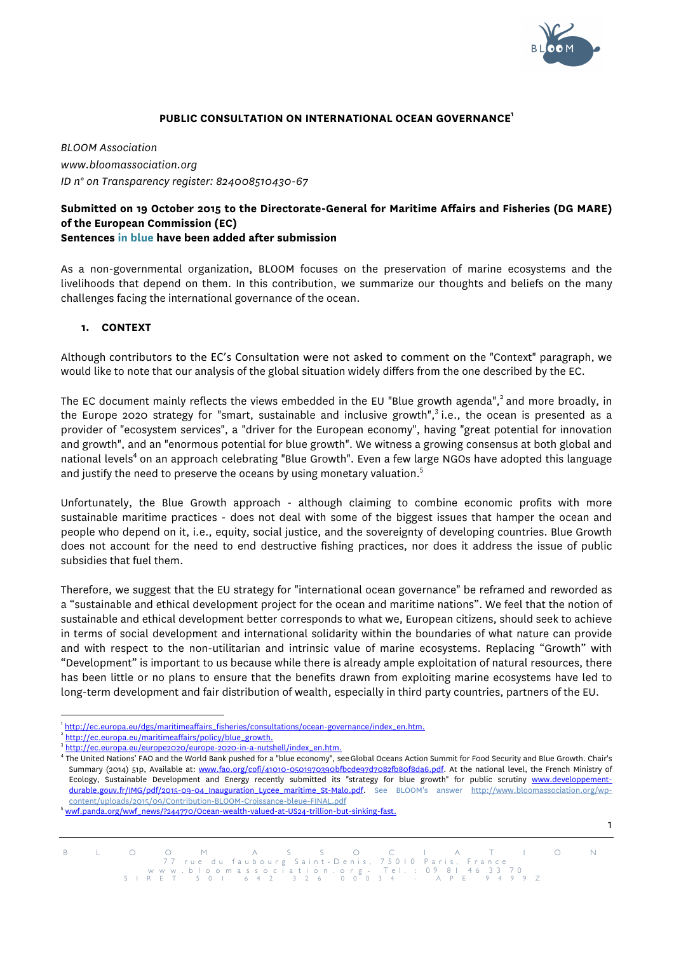

1

#### **PUBLIC CONSULTATION ON INTERNATIONAL OCEAN GOVERNANCE1**

*BLOOM Association www.bloomassociation.org ID n° on Transparency register: 824008510430-67*

## **Submitted on 19 October 2015 to the Directorate-General for Maritime Affairs and Fisheries (DG MARE) of the European Commission (EC) Sentences in blue have been added after submission**

As a non-governmental organization, BLOOM focuses on the preservation of marine ecosystems and the livelihoods that depend on them. In this contribution, we summarize our thoughts and beliefs on the many challenges facing the international governance of the ocean.

### **1. CONTEXT**

Although contributors to the EC's Consultation were not asked to comment on the "Context" paragraph, we would like to note that our analysis of the global situation widely differs from the one described by the EC.

The EC document mainly reflects the views embedded in the EU "Blue growth agenda",<sup>2</sup> and more broadly, in the Europe 2020 strategy for "smart, sustainable and inclusive growth",<sup>3</sup> i.e., the ocean is presented as a provider of "ecosystem services", a "driver for the European economy", having "great potential for innovation and growth", and an "enormous potential for blue growth". We witness a growing consensus at both global and national levels<sup>4</sup> on an approach celebrating "Blue Growth". Even a few large NGOs have adopted this language and justify the need to preserve the oceans by using monetary valuation.<sup>5</sup>

Unfortunately, the Blue Growth approach - although claiming to combine economic profits with more sustainable maritime practices - does not deal with some of the biggest issues that hamper the ocean and people who depend on it, i.e., equity, social justice, and the sovereignty of developing countries. Blue Growth does not account for the need to end destructive fishing practices, nor does it address the issue of public subsidies that fuel them.

Therefore, we suggest that the EU strategy for "international ocean governance" be reframed and reworded as a "sustainable and ethical development project for the ocean and maritime nations". We feel that the notion of sustainable and ethical development better corresponds to what we, European citizens, should seek to achieve in terms of social development and international solidarity within the boundaries of what nature can provide and with respect to the non-utilitarian and intrinsic value of marine ecosystems. Replacing "Growth" with "Development" is important to us because while there is already ample exploitation of natural resources, there has been little or no plans to ensure that the benefits drawn from exploiting marine ecosystems have led to long-term development and fair distribution of wealth, especially in third party countries, partners of the EU.

<sup>|&</sup>lt;br>1 http://ec.europa.eu/dgs/maritimeaffairs\_fisheries/consultations/ocean-governance/index\_en.htm. <sup>2</sup>

http://ec.europa.eu/maritimeaffairs/policy/blue\_growth.<br>http://ec.europa.eu/europe2020/europe-2020-in-a-nutshell/index\_en.htm.

<sup>&</sup>lt;sup>4</sup> The United Nations' FAO and the World Bank pushed for a "blue economy", see Global Oceans Action Summit for Food Security and Blue Growth. Chair's Summary (2014) 51p, Available at: www.fao.org/cofi/41010-0501970390bfbcde97d7082fb80f8da6.pdf. At the national level, the French Ministry of Ecology, Sustainable Development and Energy recently submitted its "strategy for blue growth" for public scrutiny www.developpementdurable.gouv.fr/IMG/pdf/2015-09-04\_Inauguration\_Lycee\_maritime\_St-Malo.pdf. See BLOOM's answer http://www.bloomassociation.org/wpcontent/uploads/2015/09/Contribution-BLOOM-Croissance-bleue-FINAL.pdf <sup>5</sup>

wwf.panda.org/wwf\_news/?244770/Ocean-wealth-valued-at-US24-trillion-but-sinking-fast.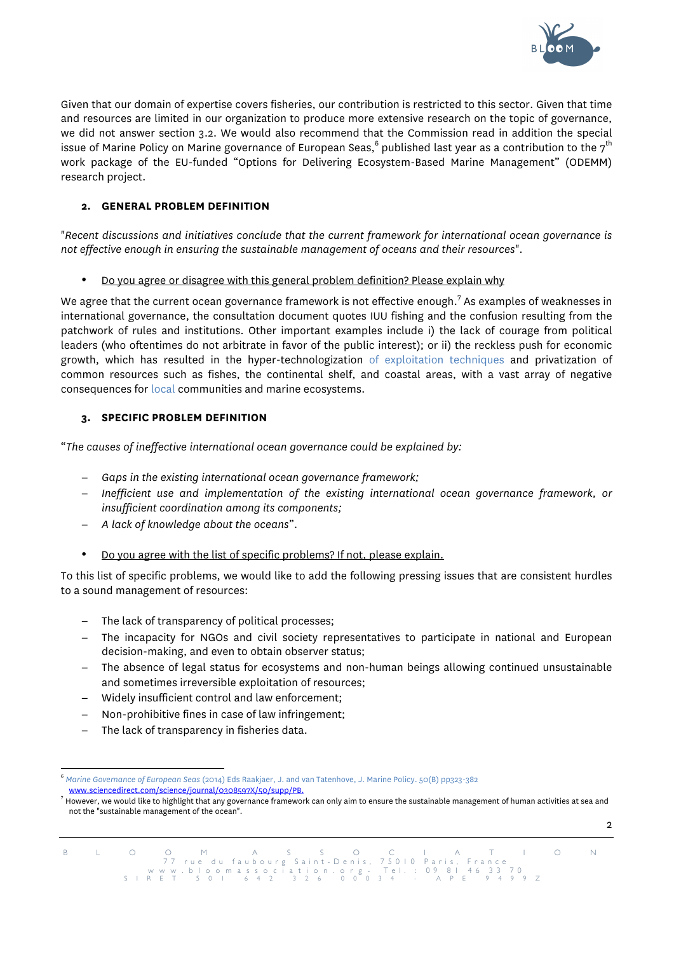

Given that our domain of expertise covers fisheries, our contribution is restricted to this sector. Given that time and resources are limited in our organization to produce more extensive research on the topic of governance, we did not answer section 3.2. We would also recommend that the Commission read in addition the special issue of Marine Policy on Marine governance of European Seas,<sup>6</sup> published last year as a contribution to the 7<sup>th</sup> work package of the EU-funded "Options for Delivering Ecosystem-Based Marine Management" (ODEMM) research project.

# **2. GENERAL PROBLEM DEFINITION**

"*Recent discussions and initiatives conclude that the current framework for international ocean governance is not effective enough in ensuring the sustainable management of oceans and their resources*".

• Do you agree or disagree with this general problem definition? Please explain why

We agree that the current ocean governance framework is not effective enough.<sup>7</sup> As examples of weaknesses in international governance, the consultation document quotes IUU fishing and the confusion resulting from the patchwork of rules and institutions. Other important examples include i) the lack of courage from political leaders (who oftentimes do not arbitrate in favor of the public interest); or ii) the reckless push for economic growth, which has resulted in the hyper-technologization of exploitation techniques and privatization of common resources such as fishes, the continental shelf, and coastal areas, with a vast array of negative consequences for local communities and marine ecosystems.

# **3. SPECIFIC PROBLEM DEFINITION**

"*The causes of ineffective international ocean governance could be explained by:*

- − *Gaps in the existing international ocean governance framework;*
- − *Inefficient use and implementation of the existing international ocean governance framework, or insufficient coordination among its components;*
- − *A lack of knowledge about the oceans*".
- Do you agree with the list of specific problems? If not, please explain.

To this list of specific problems, we would like to add the following pressing issues that are consistent hurdles to a sound management of resources:

- − The lack of transparency of political processes;
- − The incapacity for NGOs and civil society representatives to participate in national and European decision-making, and even to obtain observer status;
- − The absence of legal status for ecosystems and non-human beings allowing continued unsustainable and sometimes irreversible exploitation of resources;
- − Widely insufficient control and law enforcement;
- Non-prohibitive fines in case of law infringement;
- The lack of transparency in fisheries data.

 6 *Marine Governance of European Seas* (2014) Eds Raakjaer, J. and van Tatenhove, J. Marine Policy. 50(B) pp323-382 www.sciencedirect.com/science/journal/0308597X/50/supp/PB. <sup>7</sup>



However, we would like to highlight that any governance framework can only aim to ensure the sustainable management of human activities at sea and not the "sustainable management of the ocean".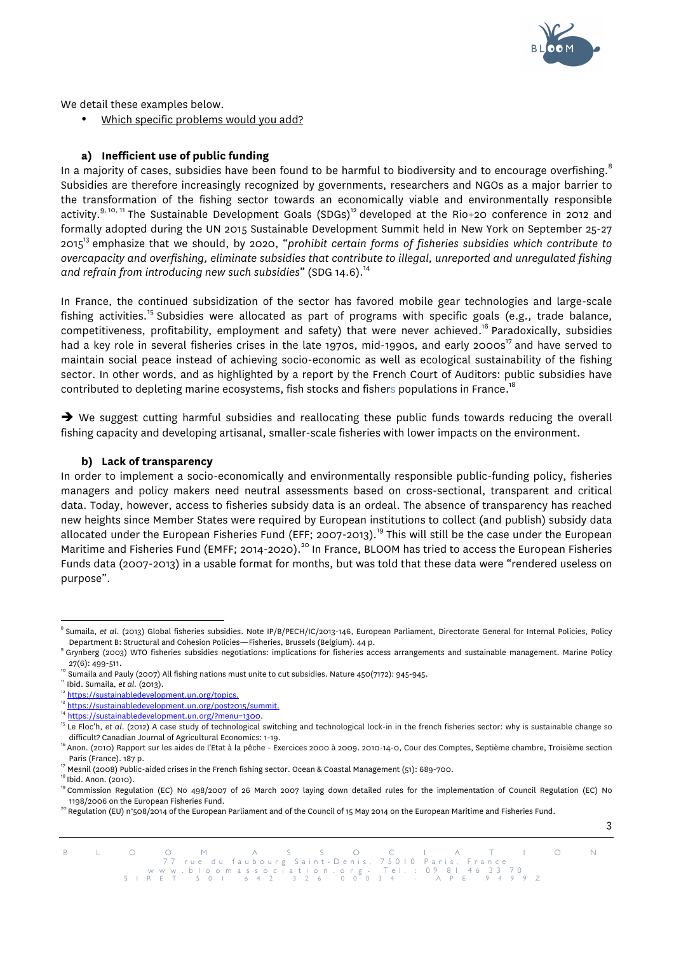

3

We detail these examples below.

• Which specific problems would you add?

## **a) Inefficient use of public funding**

In a majority of cases, subsidies have been found to be harmful to biodiversity and to encourage overfishing. $^{\rm s}$ Subsidies are therefore increasingly recognized by governments, researchers and NGOs as a major barrier to the transformation of the fishing sector towards an economically viable and environmentally responsible activity.<sup>9, 10, 11</sup> The Sustainable Development Goals (SDGs)<sup>12</sup> developed at the Rio+20 conference in 2012 and formally adopted during the UN 2015 Sustainable Development Summit held in New York on September 25-27 201513 emphasize that we should, by 2020, "*prohibit certain forms of fisheries subsidies which contribute to overcapacity and overfishing, eliminate subsidies that contribute to illegal, unreported and unregulated fishing*  and refrain from introducing new such subsidies" (SDG 14.6).<sup>14</sup>

In France, the continued subsidization of the sector has favored mobile gear technologies and large-scale fishing activities.<sup>15</sup> Subsidies were allocated as part of programs with specific goals (e.g., trade balance, competitiveness, profitability, employment and safety) that were never achieved.<sup>16</sup> Paradoxically, subsidies had a key role in several fisheries crises in the late 1970s, mid-1990s, and early 2000s<sup>17</sup> and have served to maintain social peace instead of achieving socio-economic as well as ecological sustainability of the fishing sector. In other words, and as highlighted by a report by the French Court of Auditors: public subsidies have contributed to depleting marine ecosystems, fish stocks and fishers populations in France.<sup>18</sup>

 $\rightarrow$  We suggest cutting harmful subsidies and reallocating these public funds towards reducing the overall fishing capacity and developing artisanal, smaller-scale fisheries with lower impacts on the environment.

#### **b) Lack of transparency**

In order to implement a socio-economically and environmentally responsible public-funding policy, fisheries managers and policy makers need neutral assessments based on cross-sectional, transparent and critical data. Today, however, access to fisheries subsidy data is an ordeal. The absence of transparency has reached new heights since Member States were required by European institutions to collect (and publish) subsidy data allocated under the European Fisheries Fund (EFF; 2007-2013).<sup>19</sup> This will still be the case under the European Maritime and Fisheries Fund (EMFF; 2014-2020).<sup>20</sup> In France, BLOOM has tried to access the European Fisheries Funds data (2007-2013) in a usable format for months, but was told that these data were "rendered useless on purpose".

 <sup>8</sup> Sumaila, *et al*. (2013) Global fisheries subsidies. Note IP/B/PECH/IC/2013-146, European Parliament, Directorate General for Internal Policies, Policy

Grynberg (2003) WTO fisheries subsidies negotiations: implications for fisheries access arrangements and sustainable management. Marine Policy

<sup>27(6): 499-511.&</sup>lt;br><sup>10</sup> Sumaila and Pauly (2007) All fishing nations must unite to cut subsidies. Nature 450(7172): 945-945.<br><sup>12</sup> https://sustainabledevelopment.un.org/topics.<br><sup>12</sup> https://sustainabledevelopment.un.org/topics

<sup>&</sup>lt;sup>16</sup> Anon. (2010) Rapport sur les aides de l'Etat à la pêche - Exercices 2000 à 2009. 2010-14-0, Cour des Comptes, Septième chambre, Troisième section

Paris (France). 187 p.<br><sup>17</sup> Mesnil (2008) Public-aided crises in the French fishing sector. Ocean & Coastal Management (51): 689-700.<br><sup>18</sup> Ibid. Anon. (2010).<br><sup>19</sup> Commission Regulation (EC) No 498/2007 of 26 March 2007 la

<sup>&</sup>lt;sup>20</sup> Regulation (EU) n°508/2014 of the European Parliament and of the Council of 15 May 2014 on the European Maritime and Fisheries Fund.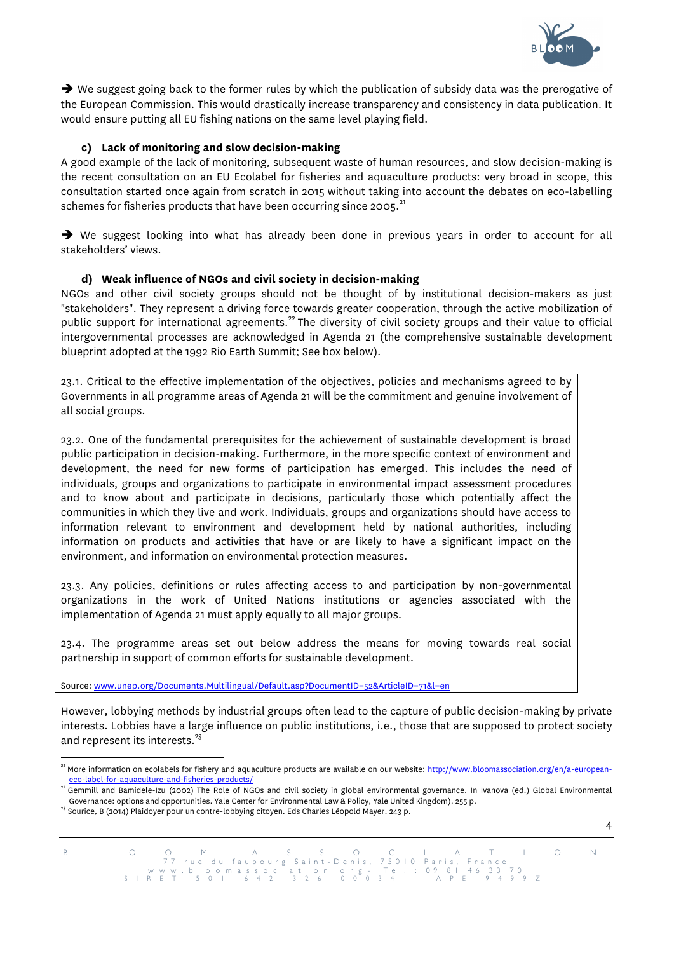

4

 $\rightarrow$  We suggest going back to the former rules by which the publication of subsidy data was the prerogative of the European Commission. This would drastically increase transparency and consistency in data publication. It would ensure putting all EU fishing nations on the same level playing field.

## **c) Lack of monitoring and slow decision-making**

A good example of the lack of monitoring, subsequent waste of human resources, and slow decision-making is the recent consultation on an EU Ecolabel for fisheries and aquaculture products: very broad in scope, this consultation started once again from scratch in 2015 without taking into account the debates on eco-labelling schemes for fisheries products that have been occurring since 2005.<sup>21</sup>

è We suggest looking into what has already been done in previous years in order to account for all stakeholders' views.

### **d) Weak influence of NGOs and civil society in decision-making**

NGOs and other civil society groups should not be thought of by institutional decision-makers as just "stakeholders". They represent a driving force towards greater cooperation, through the active mobilization of public support for international agreements.<sup>22</sup> The diversity of civil society groups and their value to official intergovernmental processes are acknowledged in Agenda 21 (the comprehensive sustainable development blueprint adopted at the 1992 Rio Earth Summit; See box below).

23.1. Critical to the effective implementation of the objectives, policies and mechanisms agreed to by Governments in all programme areas of Agenda 21 will be the commitment and genuine involvement of all social groups.

23.2. One of the fundamental prerequisites for the achievement of sustainable development is broad public participation in decision-making. Furthermore, in the more specific context of environment and development, the need for new forms of participation has emerged. This includes the need of individuals, groups and organizations to participate in environmental impact assessment procedures and to know about and participate in decisions, particularly those which potentially affect the communities in which they live and work. Individuals, groups and organizations should have access to information relevant to environment and development held by national authorities, including information on products and activities that have or are likely to have a significant impact on the environment, and information on environmental protection measures.

23.3. Any policies, definitions or rules affecting access to and participation by non-governmental organizations in the work of United Nations institutions or agencies associated with the implementation of Agenda 21 must apply equally to all major groups.

23.4. The programme areas set out below address the means for moving towards real social partnership in support of common efforts for sustainable development.

Source: www.unep.org/Documents.Multilingual/Default.asp?DocumentID=52&ArticleID=71&l=en

However, lobbying methods by industrial groups often lead to the capture of public decision-making by private interests. Lobbies have a large influence on public institutions, i.e., those that are supposed to protect society and represent its interests. $^{23}$ 

<sup>&</sup>lt;sup>21</sup> More information on ecolabels for fishery and aquaculture products are available on our website: http://www.bloomassociation.org/en/a-european-

<sup>&</sup>lt;u>eco-label-for-aquaculture-and-fisheries-products/</u><br><sup>22</sup> Gemmill and Bamidele-Izu (2002) The Role of NGOs and civil society in global environmental governance. In Ivanova (ed.) Global Environmental<br>Governance: options and

 $^{23}$  Sourice, B (2014) Plaidoyer pour un contre-lobbying citoyen. Eds Charles Léopold Mayer. 243 p.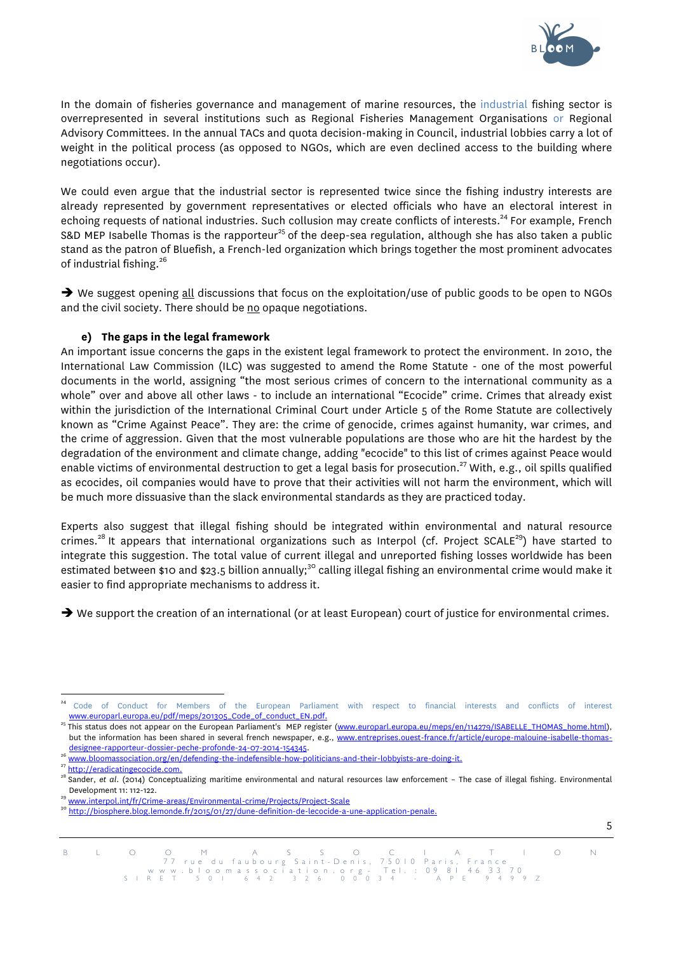

In the domain of fisheries governance and management of marine resources, the industrial fishing sector is overrepresented in several institutions such as Regional Fisheries Management Organisations or Regional Advisory Committees. In the annual TACs and quota decision-making in Council, industrial lobbies carry a lot of weight in the political process (as opposed to NGOs, which are even declined access to the building where negotiations occur).

We could even argue that the industrial sector is represented twice since the fishing industry interests are already represented by government representatives or elected officials who have an electoral interest in echoing requests of national industries. Such collusion may create conflicts of interests.<sup>24</sup> For example, French S&D MEP Isabelle Thomas is the rapporteur<sup>25</sup> of the deep-sea regulation, although she has also taken a public stand as the patron of Bluefish, a French-led organization which brings together the most prominent advocates of industrial fishing.<sup>26</sup>

 $\rightarrow$  We suggest opening all discussions that focus on the exploitation/use of public goods to be open to NGOs and the civil society. There should be no opaque negotiations.

# **e) The gaps in the legal framework**

An important issue concerns the gaps in the existent legal framework to protect the environment. In 2010, the International Law Commission (ILC) was suggested to amend the Rome Statute - one of the most powerful documents in the world, assigning "the most serious crimes of concern to the international community as a whole" over and above all other laws - to include an international "Ecocide" crime. Crimes that already exist within the jurisdiction of the International Criminal Court under Article 5 of the Rome Statute are collectively known as "Crime Against Peace". They are: the crime of genocide, crimes against humanity, war crimes, and the crime of aggression. Given that the most vulnerable populations are those who are hit the hardest by the degradation of the environment and climate change, adding "ecocide" to this list of crimes against Peace would enable victims of environmental destruction to get a legal basis for prosecution.<sup>27</sup> With, e.g., oil spills qualified as ecocides, oil companies would have to prove that their activities will not harm the environment, which will be much more dissuasive than the slack environmental standards as they are practiced today.

Experts also suggest that illegal fishing should be integrated within environmental and natural resource crimes.<sup>28</sup> It appears that international organizations such as Interpol (cf. Project SCALE<sup>29</sup>) have started to integrate this suggestion. The total value of current illegal and unreported fishing losses worldwide has been estimated between \$10 and \$23.5 billion annually;<sup>30</sup> calling illegal fishing an environmental crime would make it easier to find appropriate mechanisms to address it.

 $\rightarrow$  We support the creation of an international (or at least European) court of justice for environmental crimes.

Code of Conduct for Members of the European Parliament with respect to financial interests and conflicts of interest<br>www.europarl.euro<u>pa.eu/pdf/meps/201305.Code.of.conduct\_EN.pdf.</u>

<sup>&</sup>lt;sup>25</sup>This status does not appear on the European Parliament's MEP register (www.europarl.europa.eu/meps/en/114279/ISABELLE\_THOMAS\_home.html), but the information has been shared in several french newspaper, e.g., www.entreprises.ouest-france.fr/article/europe-malouine-isabelle-thomas-

designee-rapporteur-dossier-peche-profonde-24-07-2014-154345.<br><sup>26</sup> www.bloomassociation.org/en/defending-the-indefensible-how-politicians-and-their-lobbyists-are-doing-it.<br><sup>27</sup> http://eradicatingecocide.com.<br><sup>28</sup> Sander, Development 11: 112-122.<br><sup>29</sup> <u>www.interpol.int/fr/Crime-areas/Environmental-crime/Projects/Project-Scale<br><sup>30</sup> http://biosphere.blog.lemonde.fr/2015/01/27/dune-definition<u>-de-lecocide-a-une-application-penale</u></u>

B L O O M A S S O C I A T I O N<br>77 rue du faubourg Saint-Denis, 750 IOParis, France<br>www.bloomassociation.org - Tel.: 09 81 46 33 70<br>SIRET 50 I 642 326 000 34 - APE 9499 Z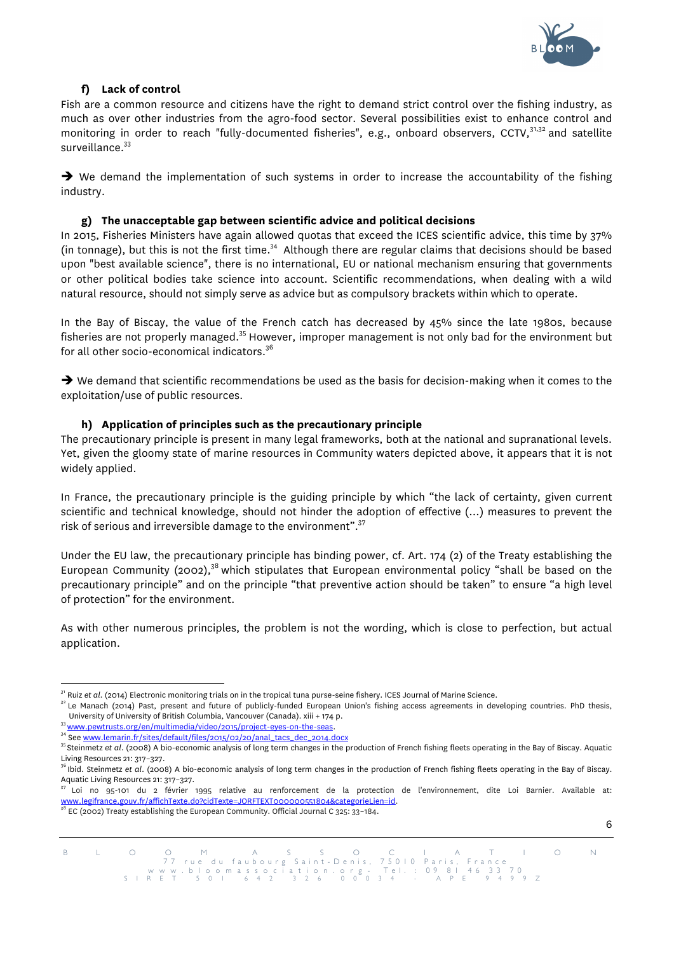

# **f) Lack of control**

Fish are a common resource and citizens have the right to demand strict control over the fishing industry, as much as over other industries from the agro-food sector. Several possibilities exist to enhance control and monitoring in order to reach "fully-documented fisheries", e.g., onboard observers, CCTV,<sup>31,32</sup> and satellite surveillance.<sup>33</sup>

 $\rightarrow$  We demand the implementation of such systems in order to increase the accountability of the fishing industry.

### **g) The unacceptable gap between scientific advice and political decisions**

In 2015, Fisheries Ministers have again allowed quotas that exceed the ICES scientific advice, this time by 37% (in tonnage), but this is not the first time.<sup>34</sup> Although there are regular claims that decisions should be based upon "best available science", there is no international, EU or national mechanism ensuring that governments or other political bodies take science into account. Scientific recommendations, when dealing with a wild natural resource, should not simply serve as advice but as compulsory brackets within which to operate.

In the Bay of Biscay, the value of the French catch has decreased by 45% since the late 1980s, because fisheries are not properly managed.<sup>35</sup> However, improper management is not only bad for the environment but for all other socio-economical indicators.<sup>36</sup>

 $\rightarrow$  We demand that scientific recommendations be used as the basis for decision-making when it comes to the exploitation/use of public resources.

### **h) Application of principles such as the precautionary principle**

The precautionary principle is present in many legal frameworks, both at the national and supranational levels. Yet, given the gloomy state of marine resources in Community waters depicted above, it appears that it is not widely applied.

In France, the precautionary principle is the guiding principle by which "the lack of certainty, given current scientific and technical knowledge, should not hinder the adoption of effective (…) measures to prevent the risk of serious and irreversible damage to the environment". $^{37}$ 

Under the EU law, the precautionary principle has binding power, cf. Art. 174 (2) of the Treaty establishing the European Community (2002),<sup>38</sup> which stipulates that European environmental policy "shall be based on the precautionary principle" and on the principle "that preventive action should be taken" to ensure "a high level of protection" for the environment.

As with other numerous principles, the problem is not the wording, which is close to perfection, but actual application.

EC (2002) Treaty establishing the European Community. Official Journal C 325: 33-184.



 $^{\text{31}}$  Ruiz et al. (2014) Electronic monitoring trials on in the tropical tuna purse-seine fishery. ICES Journal of Marine Science.<br> $^{\text{32}}$  Le Manach (2014) Past, present and future of publicly-funded European Union'

University of University of British Columbia, Vancouver (Canada). xiii + 174 p.<br><sup>33</sup> <u>www.pewtrusts.org/en/multimedia/video/2015/project-eyes-on-the-seas</u>.<br><sup>34</sup> See <u>www.lemarin.fr/sites/default/files/2015/02/20/anal\_tacs</u> Living Resources 21: 317–327.<br><sup>36</sup> Ibid. Steinmetz *et al.* (2008) A bio-economic analysis of long term changes in the production of French fishing fleets operating in the Bay of Biscay.

Aquatic Living Resources 21: 317–327.<br><sup>37</sup> Loi no 95-101 du 2 février 1995 relative au renforcement de la protection de l'environnement, dite Loi Barnier. Available at:<br>www.legifrance.gouv.fr/affichTexte.do?cidTexte=JORFTE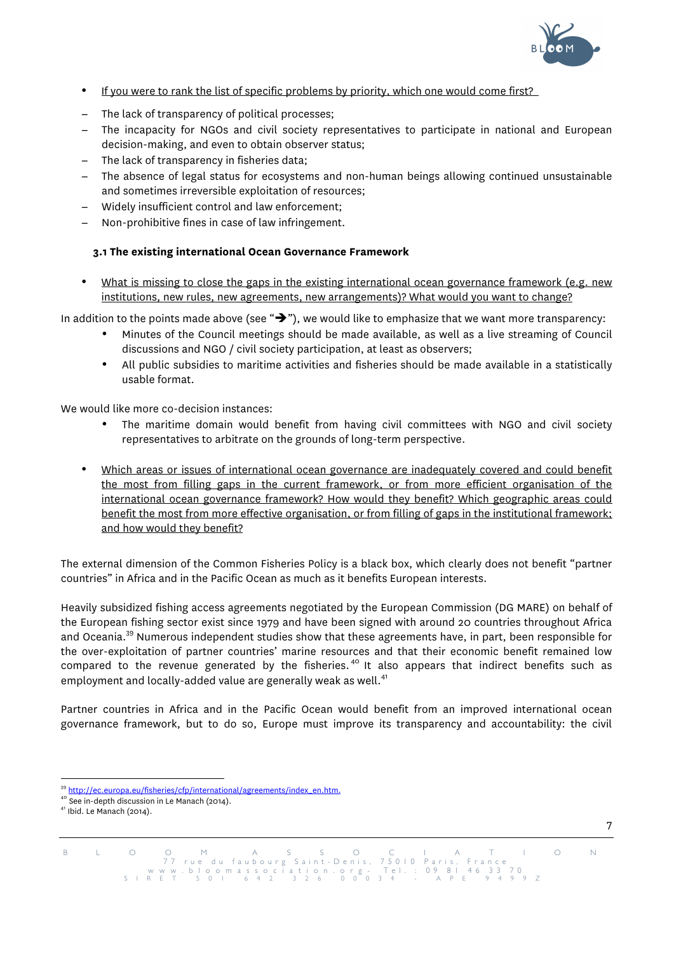

- If you were to rank the list of specific problems by priority, which one would come first?
- − The lack of transparency of political processes;
- − The incapacity for NGOs and civil society representatives to participate in national and European decision-making, and even to obtain observer status;
- − The lack of transparency in fisheries data;
- − The absence of legal status for ecosystems and non-human beings allowing continued unsustainable and sometimes irreversible exploitation of resources;
- − Widely insufficient control and law enforcement;
- − Non-prohibitive fines in case of law infringement.

# **3.1 The existing international Ocean Governance Framework**

• What is missing to close the gaps in the existing international ocean governance framework (e.g. new institutions, new rules, new agreements, new arrangements)? What would you want to change?

In addition to the points made above (see " $\rightarrow$ "), we would like to emphasize that we want more transparency:

- Minutes of the Council meetings should be made available, as well as a live streaming of Council discussions and NGO / civil society participation, at least as observers;
- All public subsidies to maritime activities and fisheries should be made available in a statistically usable format.

We would like more co-decision instances:

- The maritime domain would benefit from having civil committees with NGO and civil society representatives to arbitrate on the grounds of long-term perspective.
- Which areas or issues of international ocean governance are inadequately covered and could benefit the most from filling gaps in the current framework, or from more efficient organisation of the international ocean governance framework? How would they benefit? Which geographic areas could benefit the most from more effective organisation, or from filling of gaps in the institutional framework; and how would they benefit?

The external dimension of the Common Fisheries Policy is a black box, which clearly does not benefit "partner countries" in Africa and in the Pacific Ocean as much as it benefits European interests.

Heavily subsidized fishing access agreements negotiated by the European Commission (DG MARE) on behalf of the European fishing sector exist since 1979 and have been signed with around 20 countries throughout Africa and Oceania.39 Numerous independent studies show that these agreements have, in part, been responsible for the over-exploitation of partner countries' marine resources and that their economic benefit remained low compared to the revenue generated by the fisheries.<sup>40</sup> It also appears that indirect benefits such as employment and locally-added value are generally weak as well.<sup>41</sup>

Partner countries in Africa and in the Pacific Ocean would benefit from an improved international ocean governance framework, but to do so, Europe must improve its transparency and accountability: the civil



<sup>&</sup>lt;sup>39</sup> http://ec.europa.eu/fisheries/cfp/international/agreements/index\_en.htm. <sup>40</sup> See in-depth discussion in Le Manach (2014). <sup>41</sup> Ibid. Le Manach (2014).